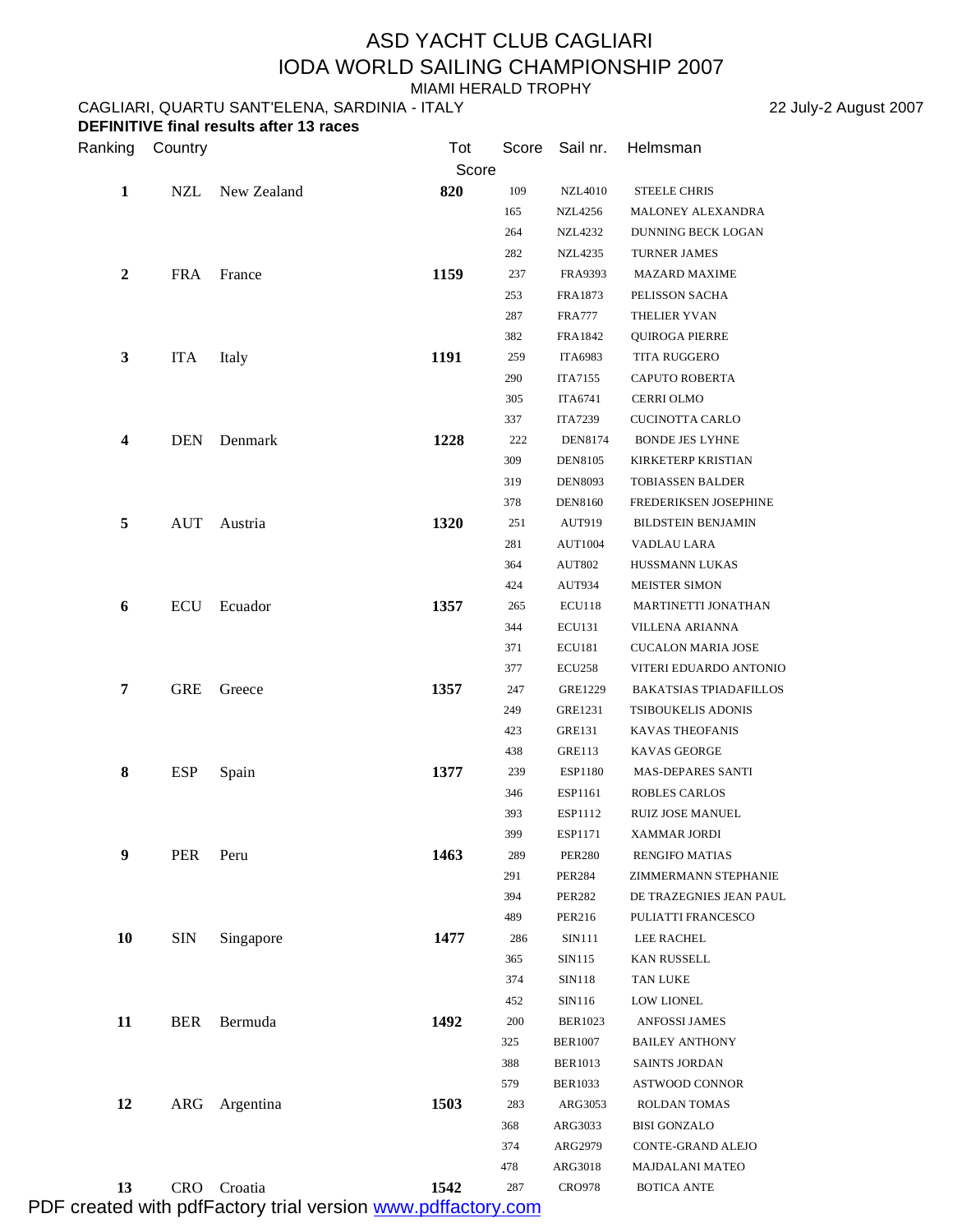## ASD YACHT CLUB CAGLIARI IODA WORLD SAILING CHAMPIONSHIP 2007

MIAMI HERALD TROPHY

CAGLIARI, QUARTU SANT'ELENA, SARDINIA - ITALY 22 July-2 August 2007 **DEFINITIVE final results after 13 races**

| Ranking          | Country    |             | Tot   | Score | Sail nr.       | Helmsman                      |  |  |
|------------------|------------|-------------|-------|-------|----------------|-------------------------------|--|--|
|                  |            |             | Score |       |                |                               |  |  |
| 1                | <b>NZL</b> | New Zealand | 820   | 109   | <b>NZL4010</b> | <b>STEELE CHRIS</b>           |  |  |
|                  |            |             |       | 165   | NZL4256        | MALONEY ALEXANDRA             |  |  |
|                  |            |             |       | 264   | NZL4232        | DUNNING BECK LOGAN            |  |  |
|                  |            |             |       | 282   | NZL4235        | <b>TURNER JAMES</b>           |  |  |
| $\boldsymbol{2}$ | <b>FRA</b> | France      | 1159  | 237   | FRA9393        | <b>MAZARD MAXIME</b>          |  |  |
|                  |            |             |       | 253   | FRA1873        | PELISSON SACHA                |  |  |
|                  |            |             |       | 287   | <b>FRA777</b>  | THELIER YVAN                  |  |  |
|                  |            |             |       | 382   | FRA1842        | QUIROGA PIERRE                |  |  |
| 3                | <b>ITA</b> | Italy       | 1191  | 259   | <b>ITA6983</b> | TITA RUGGERO                  |  |  |
|                  |            |             |       | 290   | <b>ITA7155</b> | <b>CAPUTO ROBERTA</b>         |  |  |
|                  |            |             |       | 305   | <b>ITA6741</b> | CERRI OLMO                    |  |  |
|                  |            |             |       | 337   | ITA7239        | CUCINOTTA CARLO               |  |  |
| 4                | <b>DEN</b> | Denmark     | 1228  | 222   | DEN8174        | BONDE JES LYHNE               |  |  |
|                  |            |             |       | 309   | DEN8105        | KIRKETERP KRISTIAN            |  |  |
|                  |            |             |       | 319   | <b>DEN8093</b> | <b>TOBIASSEN BALDER</b>       |  |  |
|                  |            |             |       | 378   | DEN8160        | FREDERIKSEN JOSEPHINE         |  |  |
| 5                | AUT        | Austria     | 1320  | 251   | AUT919         | <b>BILDSTEIN BENJAMIN</b>     |  |  |
|                  |            |             |       | 281   | <b>AUT1004</b> | VADLAU LARA                   |  |  |
|                  |            |             |       | 364   | <b>AUT802</b>  | HUSSMANN LUKAS                |  |  |
|                  |            |             |       | 424   | AUT934         | <b>MEISTER SIMON</b>          |  |  |
| 6                | ECU        | Ecuador     | 1357  | 265   | ECU118         | MARTINETTI JONATHAN           |  |  |
|                  |            |             |       | 344   | <b>ECU131</b>  | VILLENA ARIANNA               |  |  |
|                  |            |             |       | 371   | ECU181         | <b>CUCALON MARIA JOSE</b>     |  |  |
|                  |            |             |       | 377   | ECU258         | VITERI EDUARDO ANTONIO        |  |  |
| 7                | <b>GRE</b> | Greece      | 1357  | 247   | GRE1229        | <b>BAKATSIAS TPIADAFILLOS</b> |  |  |
|                  |            |             |       | 249   | GRE1231        | TSIBOUKELIS ADONIS            |  |  |
|                  |            |             |       | 423   | GRE131         | KAVAS THEOFANIS               |  |  |
|                  |            |             |       | 438   | <b>GRE113</b>  | KAVAS GEORGE                  |  |  |
| 8                | <b>ESP</b> | Spain       | 1377  | 239   | ESP1180        | <b>MAS-DEPARES SANTI</b>      |  |  |
|                  |            |             |       | 346   | ESP1161        | <b>ROBLES CARLOS</b>          |  |  |
|                  |            |             |       | 393   | ESP1112        | RUIZ JOSE MANUEL              |  |  |
|                  |            |             |       | 399   | ESP1171        | XAMMAR JORDI                  |  |  |
| 9                | PER        | Peru        | 1463  | 289   | <b>PER280</b>  | <b>RENGIFO MATIAS</b>         |  |  |
|                  |            |             |       | 291   | <b>PER284</b>  | ZIMMERMANN STEPHANIE          |  |  |
|                  |            |             |       | 394   | <b>PER282</b>  | DE TRAZEGNIES JEAN PAUL       |  |  |
|                  |            |             |       | 489   | PER216         | PULIATTI FRANCESCO            |  |  |
| 10               | <b>SIN</b> | Singapore   | 1477  | 286   | SIN111         | LEE RACHEL                    |  |  |
|                  |            |             |       | 365   | SIN115         | KAN RUSSELL                   |  |  |
|                  |            |             |       | 374   | SIN118         | TAN LUKE                      |  |  |
|                  |            |             |       | 452   | SIN116         | <b>LOW LIONEL</b>             |  |  |
| 11               | <b>BER</b> | Bermuda     | 1492  | 200   | <b>BER1023</b> | ANFOSSI JAMES                 |  |  |
|                  |            |             |       | 325   | <b>BER1007</b> | <b>BAILEY ANTHONY</b>         |  |  |
|                  |            |             |       | 388   | <b>BER1013</b> | SAINTS JORDAN                 |  |  |
|                  |            |             |       | 579   | BER1033        | ASTWOOD CONNOR                |  |  |
| 12               | ARG        | Argentina   | 1503  | 283   | ARG3053        | ROLDAN TOMAS                  |  |  |
|                  |            |             |       | 368   | ARG3033        | BISI GONZALO                  |  |  |
|                  |            |             |       | 374   | ARG2979        | CONTE-GRAND ALEJO             |  |  |
|                  |            |             |       | 478   | ARG3018        | MAJDALANI MATEO               |  |  |
| 13               | <b>CRO</b> | Croatia     | 1542  | 287   | <b>CRO978</b>  | <b>BOTICA ANTE</b>            |  |  |

PDF created with pdfFactory trial version [www.pdffactory.com](http://www.pdffactory.com)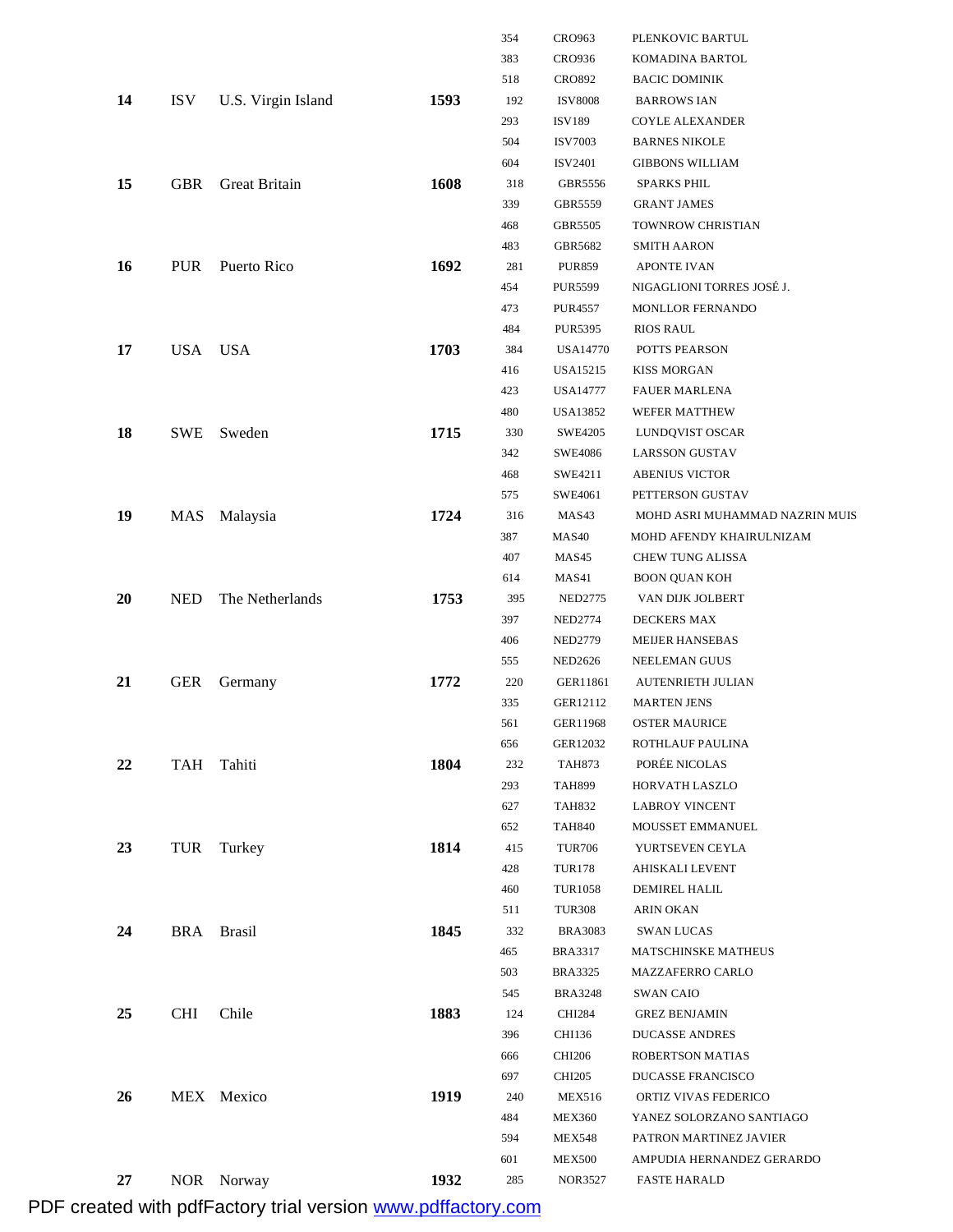|           |            |                    |      | 354 | CRO963         | PLENKOVIC BARTUL               |
|-----------|------------|--------------------|------|-----|----------------|--------------------------------|
|           |            |                    |      | 383 | CRO936         | KOMADINA BARTOL                |
|           |            |                    |      | 518 | <b>CRO892</b>  | <b>BACIC DOMINIK</b>           |
| 14        | <b>ISV</b> | U.S. Virgin Island | 1593 | 192 | <b>ISV8008</b> | <b>BARROWS IAN</b>             |
|           |            |                    |      | 293 | <b>ISV189</b>  | <b>COYLE ALEXANDER</b>         |
|           |            |                    |      | 504 | <b>ISV7003</b> | <b>BARNES NIKOLE</b>           |
|           |            |                    |      | 604 | <b>ISV2401</b> | <b>GIBBONS WILLIAM</b>         |
| 15        | <b>GBR</b> | Great Britain      | 1608 | 318 | GBR5556        | <b>SPARKS PHIL</b>             |
|           |            |                    |      | 339 | GBR5559        | <b>GRANT JAMES</b>             |
|           |            |                    |      | 468 | GBR5505        | TOWNROW CHRISTIAN              |
|           |            |                    |      | 483 | GBR5682        | <b>SMITH AARON</b>             |
| 16        | <b>PUR</b> | Puerto Rico        | 1692 | 281 | <b>PUR859</b>  | <b>APONTE IVAN</b>             |
|           |            |                    |      | 454 | <b>PUR5599</b> | NIGAGLIONI TORRES JOSÉ J.      |
|           |            |                    |      | 473 | PUR4557        | MONLLOR FERNANDO               |
|           |            |                    |      | 484 | <b>PUR5395</b> | <b>RIOS RAUL</b>               |
| 17        | <b>USA</b> | <b>USA</b>         | 1703 | 384 | USA14770       | POTTS PEARSON                  |
|           |            |                    |      | 416 | USA15215       | <b>KISS MORGAN</b>             |
|           |            |                    |      | 423 | USA14777       | <b>FAUER MARLENA</b>           |
|           |            |                    |      | 480 | USA13852       | WEFER MATTHEW                  |
| 18        | <b>SWE</b> | Sweden             | 1715 | 330 | SWE4205        | LUNDQVIST OSCAR                |
|           |            |                    |      | 342 | SWE4086        | <b>LARSSON GUSTAV</b>          |
|           |            |                    |      | 468 | SWE4211        | <b>ABENIUS VICTOR</b>          |
|           |            |                    |      | 575 | SWE4061        | PETTERSON GUSTAV               |
| 19        | MAS        | Malaysia           | 1724 | 316 | MAS43          | MOHD ASRI MUHAMMAD NAZRIN MUIS |
|           |            |                    |      | 387 | MAS40          | MOHD AFENDY KHAIRULNIZAM       |
|           |            |                    |      | 407 | MAS45          | CHEW TUNG ALISSA               |
|           |            |                    |      | 614 | MAS41          | <b>BOON QUAN KOH</b>           |
| <b>20</b> | <b>NED</b> | The Netherlands    | 1753 | 395 | <b>NED2775</b> | VAN DIJK JOLBERT               |
|           |            |                    |      | 397 | <b>NED2774</b> | DECKERS MAX                    |
|           |            |                    |      | 406 | <b>NED2779</b> | MEIJER HANSEBAS                |
|           |            |                    |      | 555 | <b>NED2626</b> | NEELEMAN GUUS                  |
| 21        | <b>GER</b> | Germany            | 1772 | 220 | GER11861       | <b>AUTENRIETH JULIAN</b>       |
|           |            |                    |      | 335 | GER12112       | <b>MARTEN JENS</b>             |
|           |            |                    |      | 561 | GER11968       | <b>OSTER MAURICE</b>           |
|           |            |                    |      | 656 | GER12032       | ROTHLAUF PAULINA               |
| 22        | TAH        | Tahiti             | 1804 | 232 | <b>TAH873</b>  | PORÉE NICOLAS                  |
|           |            |                    |      | 293 | <b>TAH899</b>  | HORVATH LASZLO                 |
|           |            |                    |      | 627 | <b>TAH832</b>  | <b>LABROY VINCENT</b>          |
|           |            |                    |      | 652 | <b>TAH840</b>  | MOUSSET EMMANUEL               |
| 23        | TUR        | Turkey             | 1814 | 415 | <b>TUR706</b>  | YURTSEVEN CEYLA                |
|           |            |                    |      | 428 | TUR178         | AHISKALI LEVENT                |
|           |            |                    |      | 460 | <b>TUR1058</b> | DEMIREL HALIL                  |
|           |            |                    |      | 511 | <b>TUR308</b>  | <b>ARIN OKAN</b>               |
| 24        |            | BRA Brasil         | 1845 | 332 | <b>BRA3083</b> | <b>SWAN LUCAS</b>              |
|           |            |                    |      | 465 | <b>BRA3317</b> | MATSCHINSKE MATHEUS            |
|           |            |                    |      | 503 | <b>BRA3325</b> | MAZZAFERRO CARLO               |
|           |            |                    |      | 545 | <b>BRA3248</b> | <b>SWAN CAIO</b>               |
| 25        | CHI        | Chile              | 1883 | 124 | <b>CHI284</b>  | <b>GREZ BENJAMIN</b>           |
|           |            |                    |      | 396 | CHI136         | <b>DUCASSE ANDRES</b>          |
|           |            |                    |      | 666 | CHI206         | ROBERTSON MATIAS               |
|           |            |                    |      | 697 | <b>CHI205</b>  | DUCASSE FRANCISCO              |
| 26        |            | MEX Mexico         | 1919 | 240 | <b>MEX516</b>  | ORTIZ VIVAS FEDERICO           |
|           |            |                    |      | 484 | <b>MEX360</b>  | YANEZ SOLORZANO SANTIAGO       |
|           |            |                    |      | 594 | <b>MEX548</b>  | PATRON MARTINEZ JAVIER         |
|           |            |                    |      | 601 | <b>MEX500</b>  | AMPUDIA HERNANDEZ GERARDO      |
| 27        |            | NOR Norway         | 1932 | 285 | NOR3527        | <b>FASTE HARALD</b>            |

PDF created with pdfFactory trial version [www.pdffactory.com](http://www.pdffactory.com)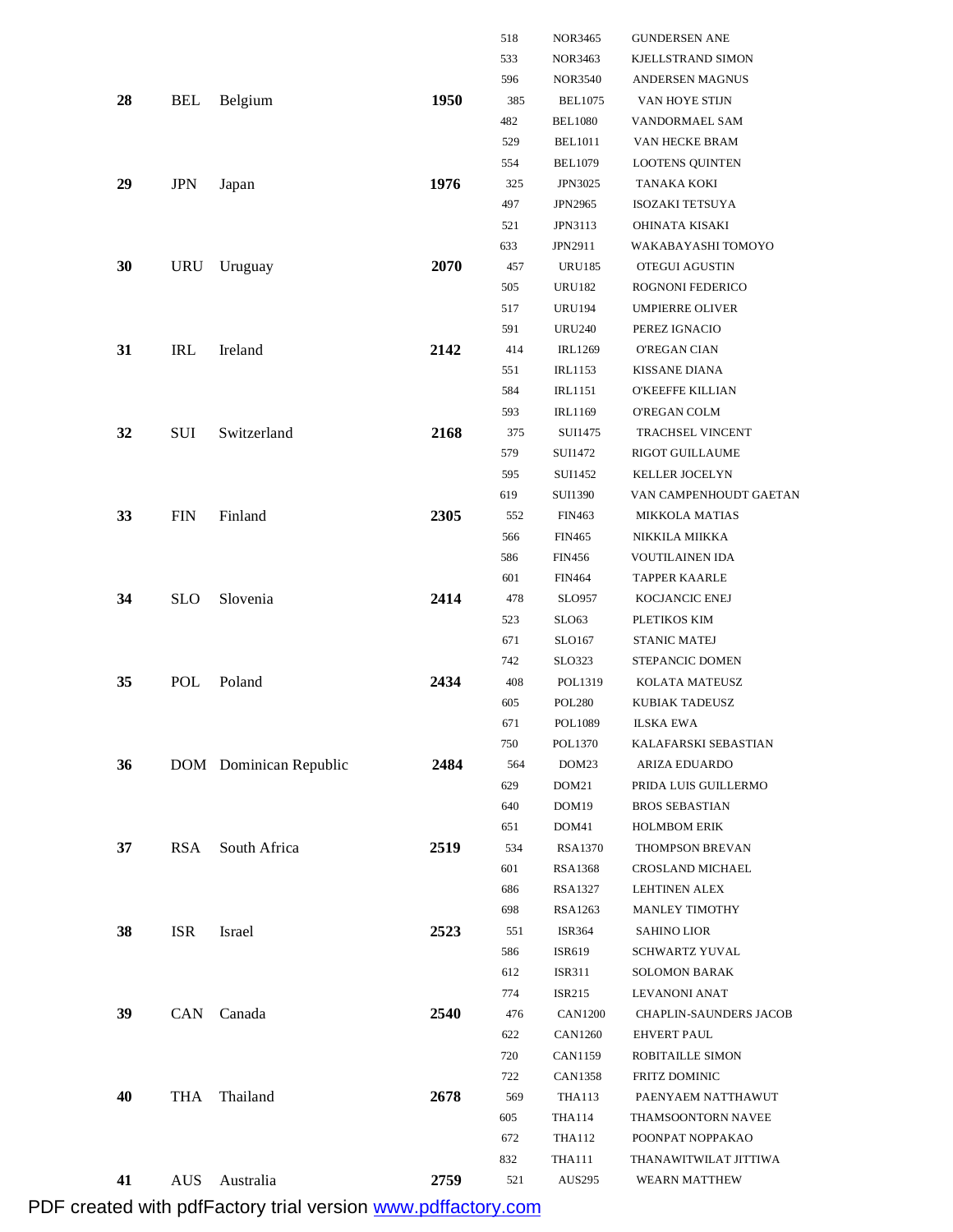|    |            |                        |      | 518 | <b>NOR3465</b>    | <b>GUNDERSEN ANE</b>          |
|----|------------|------------------------|------|-----|-------------------|-------------------------------|
|    |            |                        |      | 533 | <b>NOR3463</b>    | KJELLSTRAND SIMON             |
|    |            |                        |      | 596 | <b>NOR3540</b>    | ANDERSEN MAGNUS               |
| 28 | <b>BEL</b> | Belgium                | 1950 | 385 | <b>BEL1075</b>    | VAN HOYE STIJN                |
|    |            |                        |      | 482 | <b>BEL1080</b>    | VANDORMAEL SAM                |
|    |            |                        |      | 529 | <b>BEL1011</b>    | VAN HECKE BRAM                |
|    |            |                        |      | 554 | <b>BEL1079</b>    | <b>LOOTENS QUINTEN</b>        |
| 29 | <b>JPN</b> | Japan                  | 1976 | 325 | <b>JPN3025</b>    | TANAKA KOKI                   |
|    |            |                        |      | 497 | JPN2965           | <b>ISOZAKI TETSUYA</b>        |
|    |            |                        |      | 521 | JPN3113           | OHINATA KISAKI                |
|    |            |                        |      | 633 | JPN2911           | WAKABAYASHI TOMOYO            |
| 30 | URU        | Uruguay                | 2070 | 457 | <b>URU185</b>     | OTEGUI AGUSTIN                |
|    |            |                        |      | 505 | <b>URU182</b>     | ROGNONI FEDERICO              |
|    |            |                        |      | 517 | <b>URU194</b>     | <b>UMPIERRE OLIVER</b>        |
|    |            |                        |      | 591 | <b>URU240</b>     | PEREZ IGNACIO                 |
| 31 | <b>IRL</b> | Ireland                | 2142 | 414 | <b>IRL1269</b>    | <b>O'REGAN CIAN</b>           |
|    |            |                        |      | 551 | <b>IRL1153</b>    | <b>KISSANE DIANA</b>          |
|    |            |                        |      | 584 | <b>IRL1151</b>    | <b>O'KEEFFE KILLIAN</b>       |
|    |            |                        |      | 593 | <b>IRL1169</b>    | O'REGAN COLM                  |
| 32 | <b>SUI</b> | Switzerland            | 2168 | 375 | SUI1475           | TRACHSEL VINCENT              |
|    |            |                        |      | 579 | SUI1472           | <b>RIGOT GUILLAUME</b>        |
|    |            |                        |      | 595 | SUI1452           | <b>KELLER JOCELYN</b>         |
|    |            |                        |      | 619 | <b>SUI1390</b>    | VAN CAMPENHOUDT GAETAN        |
| 33 | <b>FIN</b> | Finland                | 2305 | 552 | <b>FIN463</b>     | <b>MIKKOLA MATIAS</b>         |
|    |            |                        |      | 566 | <b>FIN465</b>     | NIKKILA MIIKKA                |
|    |            |                        |      | 586 | <b>FIN456</b>     | VOUTILAINEN IDA               |
|    |            |                        |      | 601 | <b>FIN464</b>     | <b>TAPPER KAARLE</b>          |
| 34 | <b>SLO</b> | Slovenia               | 2414 | 478 | <b>SLO957</b>     | KOCJANCIC ENEJ                |
|    |            |                        |      | 523 | SLO63             | PLETIKOS KIM                  |
|    |            |                        |      | 671 | SLO167            | <b>STANIC MATEJ</b>           |
|    |            |                        |      | 742 | SLO323            | STEPANCIC DOMEN               |
| 35 | POL        | Poland                 | 2434 | 408 | POL1319           | KOLATA MATEUSZ                |
|    |            |                        |      | 605 | <b>POL280</b>     | KUBIAK TADEUSZ                |
|    |            |                        |      | 671 | POL1089           | <b>ILSKA EWA</b>              |
|    |            |                        |      | 750 | POL1370           | KALAFARSKI SEBASTIAN          |
| 36 |            | DOM Dominican Republic | 2484 | 564 | DOM23             | ARIZA EDUARDO                 |
|    |            |                        |      | 629 | DOM <sub>21</sub> | PRIDA LUIS GUILLERMO          |
|    |            |                        |      | 640 | DOM19             | <b>BROS SEBASTIAN</b>         |
|    |            |                        |      | 651 | DOM41             | <b>HOLMBOM ERIK</b>           |
| 37 | <b>RSA</b> | South Africa           | 2519 | 534 | <b>RSA1370</b>    | THOMPSON BREVAN               |
|    |            |                        |      | 601 | RSA1368           | CROSLAND MICHAEL              |
|    |            |                        |      | 686 | <b>RSA1327</b>    | <b>LEHTINEN ALEX</b>          |
|    |            |                        |      | 698 | RSA1263           | <b>MANLEY TIMOTHY</b>         |
| 38 | <b>ISR</b> | Israel                 | 2523 | 551 | ISR364            | SAHINO LIOR                   |
|    |            |                        |      | 586 | ISR619            | SCHWARTZ YUVAL                |
|    |            |                        |      | 612 | ISR311            | SOLOMON BARAK                 |
|    |            |                        |      | 774 | ISR215            | LEVANONI ANAT                 |
| 39 | <b>CAN</b> | Canada                 | 2540 | 476 | <b>CAN1200</b>    | <b>CHAPLIN-SAUNDERS JACOB</b> |
|    |            |                        |      | 622 | CAN1260           | EHVERT PAUL                   |
|    |            |                        |      | 720 | CAN1159           | ROBITAILLE SIMON              |
|    |            |                        |      | 722 | <b>CAN1358</b>    | FRITZ DOMINIC                 |
| 40 | THA        | Thailand               | 2678 | 569 | THA113            | PAENYAEM NATTHAWUT            |
|    |            |                        |      | 605 | <b>THA114</b>     | THAMSOONTORN NAVEE            |
|    |            |                        |      | 672 | <b>THA112</b>     | POONPAT NOPPAKAO              |
|    |            |                        |      | 832 | <b>THA111</b>     | THANAWITWILAT JITTIWA         |
| 41 | <b>AUS</b> | Australia              | 2759 | 521 | AUS295            | WEARN MATTHEW                 |

PDF created with pdfFactory trial version www.pdffactory.com